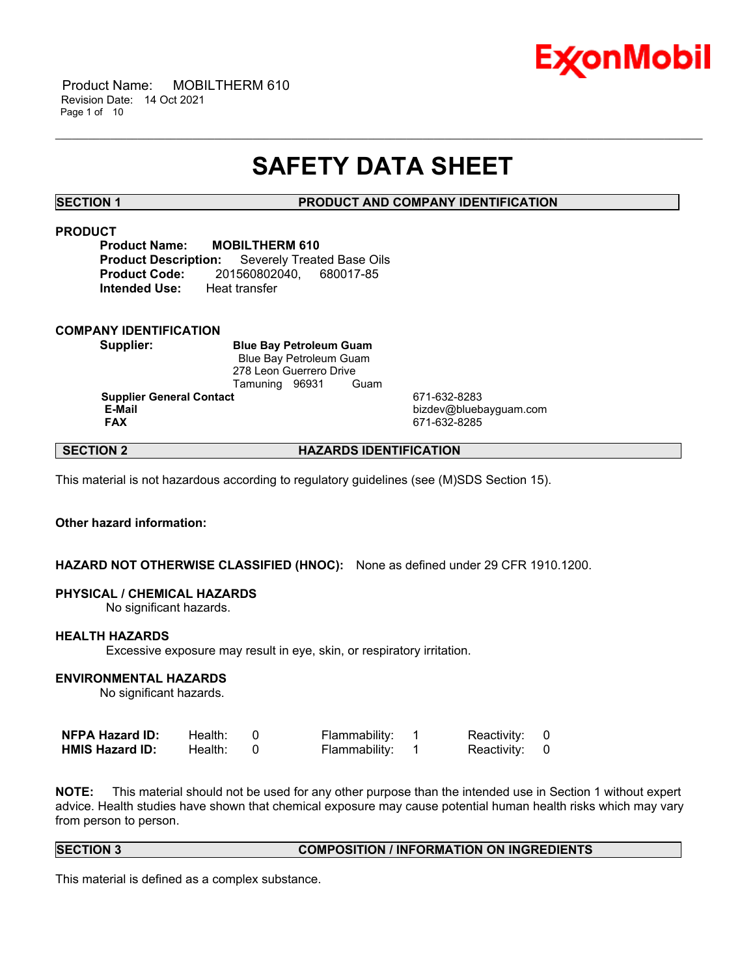

 Product Name: MOBILTHERM 610 Revision Date: 14 Oct 2021 Page 1 of 10

# **SAFETY DATA SHEET**

\_\_\_\_\_\_\_\_\_\_\_\_\_\_\_\_\_\_\_\_\_\_\_\_\_\_\_\_\_\_\_\_\_\_\_\_\_\_\_\_\_\_\_\_\_\_\_\_\_\_\_\_\_\_\_\_\_\_\_\_\_\_\_\_\_\_\_\_\_\_\_\_\_\_\_\_\_\_\_\_\_\_\_\_\_\_\_\_\_\_\_\_\_\_\_\_\_\_\_\_\_\_\_\_\_\_\_\_\_\_\_\_\_\_\_\_\_\_

**SECTION 1 PRODUCT AND COMPANY IDENTIFICATION**

### **PRODUCT**

**Product Name: MOBILTHERM 610 Product Description:** Severely Treated Base Oils **Product Code:** 201560802040, 680017-85 **Intended Use:** Heat transfer

### **COMPANY IDENTIFICATION**

**Supplier: Blue Bay Petroleum Guam** Blue Bay Petroleum Guam 278 Leon Guerrero Drive Tamuning 96931 Guam

**Supplier General Contact** 671-632-8283

**E-Mail** bizdev@bluebayguam.com **FAX** 671-632-8285

# **SECTION 2 HAZARDS IDENTIFICATION**

This material is not hazardous according to regulatory guidelines (see (M)SDS Section 15).

# **Other hazard information:**

# **HAZARD NOT OTHERWISE CLASSIFIED (HNOC):** None as defined under 29 CFR 1910.1200.

### **PHYSICAL / CHEMICAL HAZARDS**

No significant hazards.

### **HEALTH HAZARDS**

Excessive exposure may result in eye, skin, or respiratory irritation.

# **ENVIRONMENTAL HAZARDS**

No significant hazards.

| <b>NFPA Hazard ID:</b> | Health: | Flammability: | Reactivity: 0 |  |
|------------------------|---------|---------------|---------------|--|
| <b>HMIS Hazard ID:</b> | Health: | Flammability: | Reactivity: 0 |  |

**NOTE:** This material should not be used for any other purpose than the intended use in Section 1 without expert advice. Health studies have shown that chemical exposure may cause potential human health risks which may vary from person to person.

### **SECTION 3 COMPOSITION / INFORMATION ON INGREDIENTS**

This material is defined as a complex substance.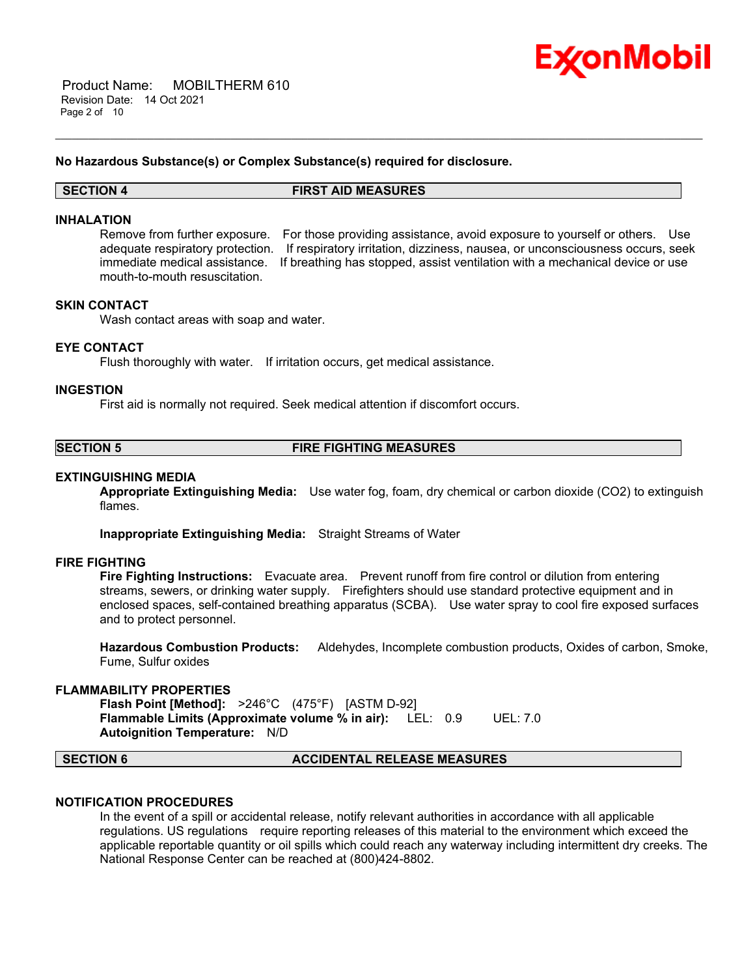

### **No Hazardous Substance(s) or Complex Substance(s) required for disclosure.**

**SECTION 4 FIRST AID MEASURES**

\_\_\_\_\_\_\_\_\_\_\_\_\_\_\_\_\_\_\_\_\_\_\_\_\_\_\_\_\_\_\_\_\_\_\_\_\_\_\_\_\_\_\_\_\_\_\_\_\_\_\_\_\_\_\_\_\_\_\_\_\_\_\_\_\_\_\_\_\_\_\_\_\_\_\_\_\_\_\_\_\_\_\_\_\_\_\_\_\_\_\_\_\_\_\_\_\_\_\_\_\_\_\_\_\_\_\_\_\_\_\_\_\_\_\_\_\_\_

### **INHALATION**

Remove from further exposure. For those providing assistance, avoid exposure to yourself or others. Use adequate respiratory protection. If respiratory irritation, dizziness, nausea, or unconsciousness occurs, seek immediate medical assistance. If breathing has stopped, assist ventilation with a mechanical device or use mouth-to-mouth resuscitation.

# **SKIN CONTACT**

Wash contact areas with soap and water.

### **EYE CONTACT**

Flush thoroughly with water. If irritation occurs, get medical assistance.

### **INGESTION**

First aid is normally not required. Seek medical attention if discomfort occurs.

**SECTION 5 FIRE FIGHTING MEASURES**

### **EXTINGUISHING MEDIA**

**Appropriate Extinguishing Media:** Use water fog, foam, dry chemical or carbon dioxide (CO2) to extinguish flames.

**Inappropriate Extinguishing Media:** Straight Streams of Water

### **FIRE FIGHTING**

**Fire Fighting Instructions:** Evacuate area. Prevent runoff from fire control or dilution from entering streams, sewers, or drinking water supply. Firefighters should use standard protective equipment and in enclosed spaces, self-contained breathing apparatus (SCBA). Use water spray to cool fire exposed surfaces and to protect personnel.

**Hazardous Combustion Products:** Aldehydes, Incomplete combustion products, Oxides of carbon, Smoke, Fume, Sulfur oxides

### **FLAMMABILITY PROPERTIES**

**Flash Point [Method]:** >246°C (475°F) [ASTM D-92] **Flammable Limits (Approximate volume % in air):** LEL: 0.9 UEL: 7.0 **Autoignition Temperature:** N/D

**SECTION 6 ACCIDENTAL RELEASE MEASURES**

# **NOTIFICATION PROCEDURES**

In the event of a spill or accidental release, notify relevant authorities in accordance with all applicable regulations. US regulations require reporting releases of this material to the environment which exceed the applicable reportable quantity or oil spills which could reach any waterway including intermittent dry creeks. The National Response Center can be reached at (800)424-8802.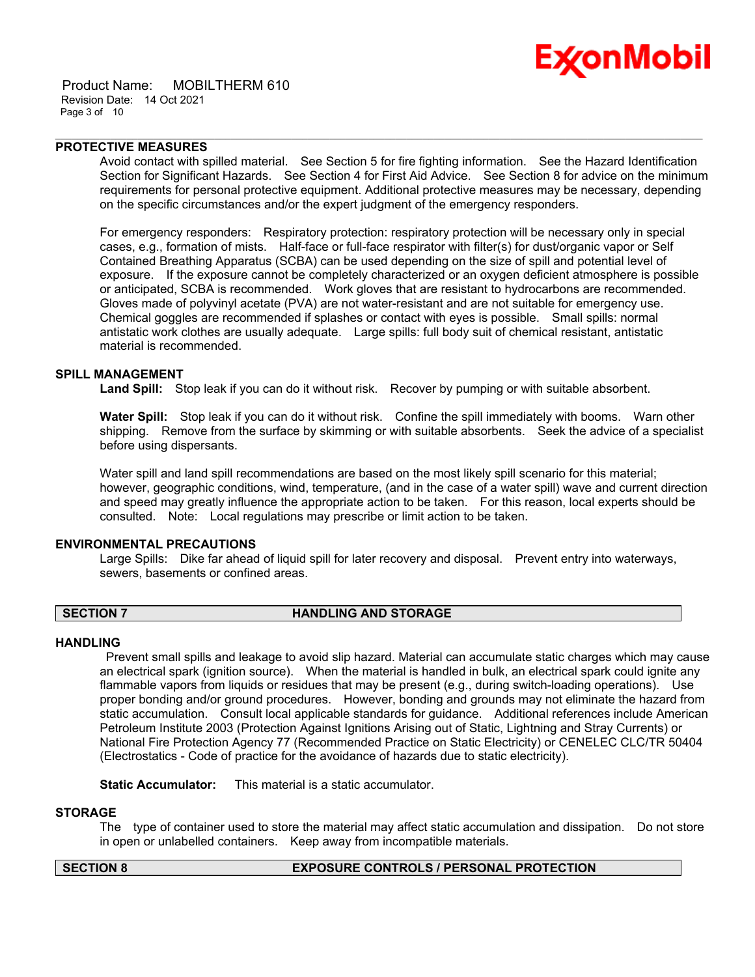

 Product Name: MOBILTHERM 610 Revision Date: 14 Oct 2021 Page 3 of 10

# **PROTECTIVE MEASURES**

Avoid contact with spilled material. See Section 5 for fire fighting information. See the Hazard Identification Section for Significant Hazards. See Section 4 for First Aid Advice. See Section 8 for advice on the minimum requirements for personal protective equipment. Additional protective measures may be necessary, depending on the specific circumstances and/or the expert judgment of the emergency responders.

\_\_\_\_\_\_\_\_\_\_\_\_\_\_\_\_\_\_\_\_\_\_\_\_\_\_\_\_\_\_\_\_\_\_\_\_\_\_\_\_\_\_\_\_\_\_\_\_\_\_\_\_\_\_\_\_\_\_\_\_\_\_\_\_\_\_\_\_\_\_\_\_\_\_\_\_\_\_\_\_\_\_\_\_\_\_\_\_\_\_\_\_\_\_\_\_\_\_\_\_\_\_\_\_\_\_\_\_\_\_\_\_\_\_\_\_\_\_

For emergency responders: Respiratory protection: respiratory protection will be necessary only in special cases, e.g., formation of mists. Half-face or full-face respirator with filter(s) for dust/organic vapor or Self Contained Breathing Apparatus (SCBA) can be used depending on the size of spill and potential level of exposure. If the exposure cannot be completely characterized or an oxygen deficient atmosphere is possible or anticipated, SCBA is recommended. Work gloves that are resistant to hydrocarbons are recommended. Gloves made of polyvinyl acetate (PVA) are not water-resistant and are not suitable for emergency use. Chemical goggles are recommended if splashes or contact with eyes is possible. Small spills: normal antistatic work clothes are usually adequate. Large spills: full body suit of chemical resistant, antistatic material is recommended.

# **SPILL MANAGEMENT**

**Land Spill:** Stop leak if you can do it without risk. Recover by pumping or with suitable absorbent.

**Water Spill:** Stop leak if you can do it without risk. Confine the spill immediately with booms. Warn other shipping. Remove from the surface by skimming or with suitable absorbents. Seek the advice of a specialist before using dispersants.

Water spill and land spill recommendations are based on the most likely spill scenario for this material; however, geographic conditions, wind, temperature, (and in the case of a water spill) wave and current direction and speed may greatly influence the appropriate action to be taken. For this reason, local experts should be consulted. Note: Local regulations may prescribe or limit action to be taken.

# **ENVIRONMENTAL PRECAUTIONS**

Large Spills: Dike far ahead of liquid spill for later recovery and disposal. Prevent entry into waterways, sewers, basements or confined areas.

# **SECTION 7 HANDLING AND STORAGE**

### **HANDLING**

Prevent small spills and leakage to avoid slip hazard. Material can accumulate static charges which may cause an electrical spark (ignition source). When the material is handled in bulk, an electrical spark could ignite any flammable vapors from liquids or residues that may be present (e.g., during switch-loading operations). Use proper bonding and/or ground procedures. However, bonding and grounds may not eliminate the hazard from static accumulation. Consult local applicable standards for guidance. Additional references include American Petroleum Institute 2003 (Protection Against Ignitions Arising out of Static, Lightning and Stray Currents) or National Fire Protection Agency 77 (Recommended Practice on Static Electricity) or CENELEC CLC/TR 50404 (Electrostatics - Code of practice for the avoidance of hazards due to static electricity).

**Static Accumulator:** This material is a static accumulator.

## **STORAGE**

The type of container used to store the material may affect static accumulation and dissipation. Do not store in open or unlabelled containers. Keep away from incompatible materials.

# **SECTION 8 EXPOSURE CONTROLS / PERSONAL PROTECTION**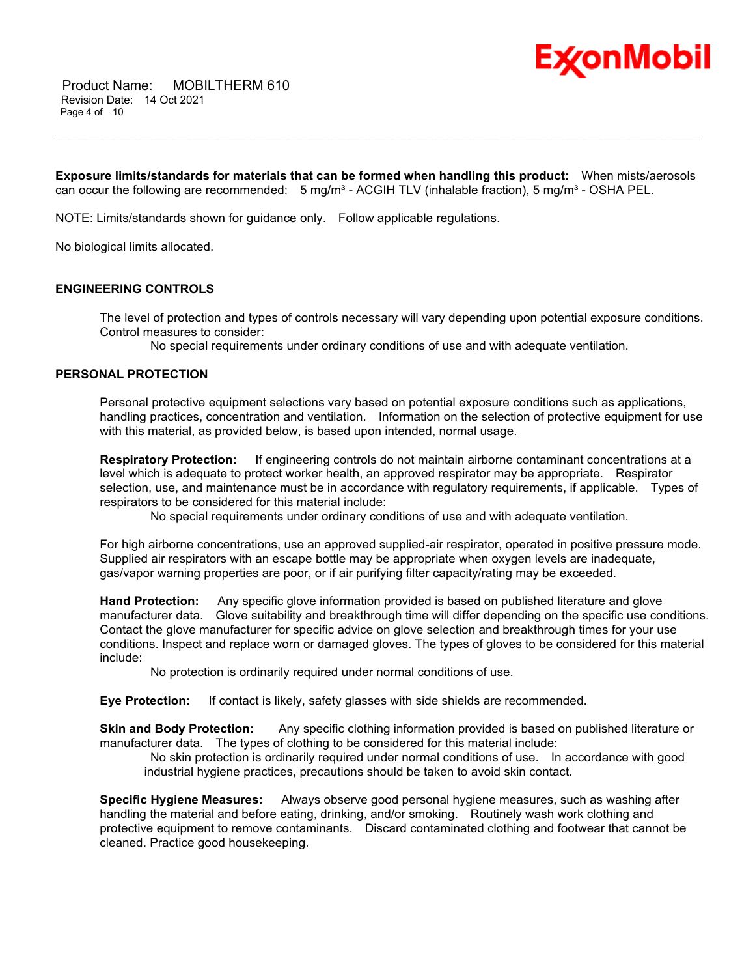

**Exposure limits/standards for materials that can be formed when handling this product:** When mists/aerosols can occur the following are recommended: 5 mg/m<sup>3</sup> - ACGIH TLV (inhalable fraction), 5 mg/m<sup>3</sup> - OSHA PEL.

\_\_\_\_\_\_\_\_\_\_\_\_\_\_\_\_\_\_\_\_\_\_\_\_\_\_\_\_\_\_\_\_\_\_\_\_\_\_\_\_\_\_\_\_\_\_\_\_\_\_\_\_\_\_\_\_\_\_\_\_\_\_\_\_\_\_\_\_\_\_\_\_\_\_\_\_\_\_\_\_\_\_\_\_\_\_\_\_\_\_\_\_\_\_\_\_\_\_\_\_\_\_\_\_\_\_\_\_\_\_\_\_\_\_\_\_\_\_

NOTE: Limits/standards shown for guidance only. Follow applicable regulations.

No biological limits allocated.

# **ENGINEERING CONTROLS**

The level of protection and types of controls necessary will vary depending upon potential exposure conditions. Control measures to consider:

No special requirements under ordinary conditions of use and with adequate ventilation.

# **PERSONAL PROTECTION**

Personal protective equipment selections vary based on potential exposure conditions such as applications, handling practices, concentration and ventilation. Information on the selection of protective equipment for use with this material, as provided below, is based upon intended, normal usage.

**Respiratory Protection:** If engineering controls do not maintain airborne contaminant concentrations at a level which is adequate to protect worker health, an approved respirator may be appropriate. Respirator selection, use, and maintenance must be in accordance with regulatory requirements, if applicable. Types of respirators to be considered for this material include:

No special requirements under ordinary conditions of use and with adequate ventilation.

For high airborne concentrations, use an approved supplied-air respirator, operated in positive pressure mode. Supplied air respirators with an escape bottle may be appropriate when oxygen levels are inadequate, gas/vapor warning properties are poor, or if air purifying filter capacity/rating may be exceeded.

**Hand Protection:** Any specific glove information provided is based on published literature and glove manufacturer data. Glove suitability and breakthrough time will differ depending on the specific use conditions. Contact the glove manufacturer for specific advice on glove selection and breakthrough times for your use conditions. Inspect and replace worn or damaged gloves. The types of gloves to be considered for this material include:

No protection is ordinarily required under normal conditions of use.

**Eye Protection:** If contact is likely, safety glasses with side shields are recommended.

**Skin and Body Protection:** Any specific clothing information provided is based on published literature or manufacturer data. The types of clothing to be considered for this material include:

No skin protection is ordinarily required under normal conditions of use. In accordance with good industrial hygiene practices, precautions should be taken to avoid skin contact.

**Specific Hygiene Measures:** Always observe good personal hygiene measures, such as washing after handling the material and before eating, drinking, and/or smoking. Routinely wash work clothing and protective equipment to remove contaminants. Discard contaminated clothing and footwear that cannot be cleaned. Practice good housekeeping.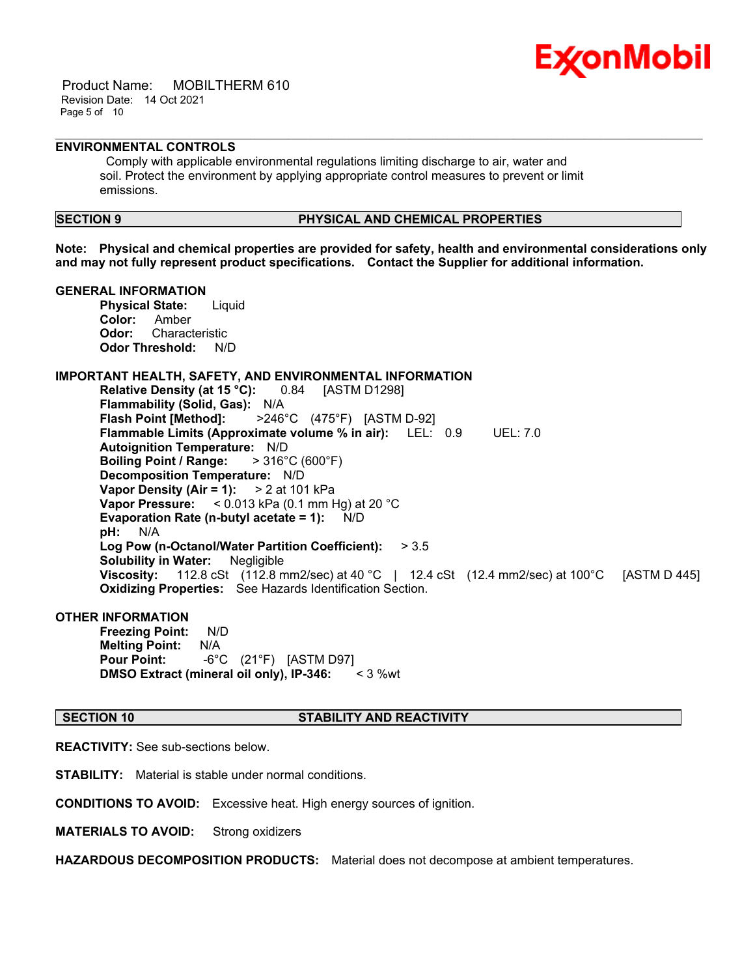

 Product Name: MOBILTHERM 610 Revision Date: 14 Oct 2021 Page 5 of 10

# **ENVIRONMENTAL CONTROLS**

Comply with applicable environmental regulations limiting discharge to air, water and soil. Protect the environment by applying appropriate control measures to prevent or limit emissions.

# **SECTION 9 PHYSICAL AND CHEMICAL PROPERTIES**

**Note: Physical and chemical properties are provided for safety, health and environmental considerations only and may not fully represent product specifications. Contact the Supplier for additional information.**

\_\_\_\_\_\_\_\_\_\_\_\_\_\_\_\_\_\_\_\_\_\_\_\_\_\_\_\_\_\_\_\_\_\_\_\_\_\_\_\_\_\_\_\_\_\_\_\_\_\_\_\_\_\_\_\_\_\_\_\_\_\_\_\_\_\_\_\_\_\_\_\_\_\_\_\_\_\_\_\_\_\_\_\_\_\_\_\_\_\_\_\_\_\_\_\_\_\_\_\_\_\_\_\_\_\_\_\_\_\_\_\_\_\_\_\_\_\_

# **GENERAL INFORMATION**

**Physical State:** Liquid **Color:** Amber **Odor:** Characteristic **Odor Threshold:** N/D

### **IMPORTANT HEALTH, SAFETY, AND ENVIRONMENTAL INFORMATION**

**Relative Density (at 15 °C):** 0.84 [ASTM D1298] **Flammability (Solid, Gas):** N/A **Flash Point [Method]:** >246°C (475°F) [ASTM D-92] **Flammable Limits (Approximate volume % in air):** LEL: 0.9 UEL: 7.0 **Autoignition Temperature:** N/D **Boiling Point / Range:** > 316°C (600°F) **Decomposition Temperature:** N/D **Vapor Density (Air = 1):** > 2 at 101 kPa **Vapor Pressure:** < 0.013 kPa (0.1 mm Hg) at 20 °C **Evaporation Rate (n-butyl acetate = 1):** N/D **pH:** N/A **Log Pow (n-Octanol/Water Partition Coefficient):** > 3.5 **Solubility in Water:** Negligible **Viscosity:** 112.8 cSt (112.8 mm2/sec) at 40 °C | 12.4 cSt (12.4 mm2/sec) at 100°C [ASTM D 445] **Oxidizing Properties:** See Hazards Identification Section.

### **OTHER INFORMATION**

**Freezing Point:** N/D **Melting Point:** N/A **Pour Point:** -6°C (21°F) [ASTM D97] **DMSO Extract (mineral oil only), IP-346:** < 3 %wt

# **SECTION 10 STABILITY AND REACTIVITY**

**REACTIVITY:** See sub-sections below.

**STABILITY:** Material is stable under normal conditions.

**CONDITIONS TO AVOID:** Excessive heat. High energy sources of ignition.

**MATERIALS TO AVOID:** Strong oxidizers

**HAZARDOUS DECOMPOSITION PRODUCTS:** Material does not decompose at ambient temperatures.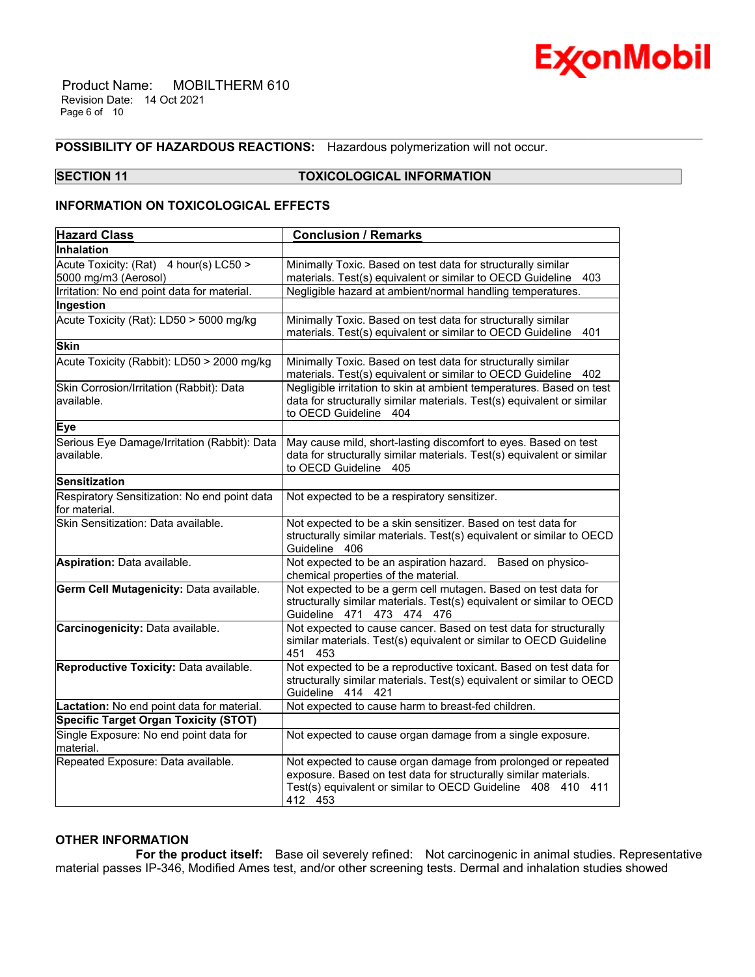

 Product Name: MOBILTHERM 610 Revision Date: 14 Oct 2021 Page 6 of 10

# **POSSIBILITY OF HAZARDOUS REACTIONS:** Hazardous polymerization will not occur.

# **SECTION 11 TOXICOLOGICAL INFORMATION**

\_\_\_\_\_\_\_\_\_\_\_\_\_\_\_\_\_\_\_\_\_\_\_\_\_\_\_\_\_\_\_\_\_\_\_\_\_\_\_\_\_\_\_\_\_\_\_\_\_\_\_\_\_\_\_\_\_\_\_\_\_\_\_\_\_\_\_\_\_\_\_\_\_\_\_\_\_\_\_\_\_\_\_\_\_\_\_\_\_\_\_\_\_\_\_\_\_\_\_\_\_\_\_\_\_\_\_\_\_\_\_\_\_\_\_\_\_\_

# **INFORMATION ON TOXICOLOGICAL EFFECTS**

| <b>Hazard Class</b>                                            | <b>Conclusion / Remarks</b>                                                                                                                                                                                 |  |  |
|----------------------------------------------------------------|-------------------------------------------------------------------------------------------------------------------------------------------------------------------------------------------------------------|--|--|
| <b>Inhalation</b>                                              |                                                                                                                                                                                                             |  |  |
| Acute Toxicity: (Rat) 4 hour(s) LC50 ><br>5000 mg/m3 (Aerosol) | Minimally Toxic. Based on test data for structurally similar<br>materials. Test(s) equivalent or similar to OECD Guideline<br>403                                                                           |  |  |
| Irritation: No end point data for material.                    | Negligible hazard at ambient/normal handling temperatures.                                                                                                                                                  |  |  |
| Ingestion                                                      |                                                                                                                                                                                                             |  |  |
| Acute Toxicity (Rat): LD50 > 5000 mg/kg                        | Minimally Toxic. Based on test data for structurally similar<br>materials. Test(s) equivalent or similar to OECD Guideline<br>401                                                                           |  |  |
| <b>Skin</b>                                                    |                                                                                                                                                                                                             |  |  |
| Acute Toxicity (Rabbit): LD50 > 2000 mg/kg                     | Minimally Toxic. Based on test data for structurally similar<br>materials. Test(s) equivalent or similar to OECD Guideline<br>402                                                                           |  |  |
| Skin Corrosion/Irritation (Rabbit): Data<br>available.         | Negligible irritation to skin at ambient temperatures. Based on test<br>data for structurally similar materials. Test(s) equivalent or similar<br>to OECD Guideline<br>404                                  |  |  |
| Eye                                                            |                                                                                                                                                                                                             |  |  |
| Serious Eye Damage/Irritation (Rabbit): Data<br>available.     | May cause mild, short-lasting discomfort to eyes. Based on test<br>data for structurally similar materials. Test(s) equivalent or similar<br>to OECD Guideline 405                                          |  |  |
| Sensitization                                                  |                                                                                                                                                                                                             |  |  |
| Respiratory Sensitization: No end point data<br>for material.  | Not expected to be a respiratory sensitizer.                                                                                                                                                                |  |  |
| Skin Sensitization: Data available.                            | Not expected to be a skin sensitizer. Based on test data for<br>structurally similar materials. Test(s) equivalent or similar to OECD<br>Guideline 406                                                      |  |  |
| Aspiration: Data available.                                    | Not expected to be an aspiration hazard. Based on physico-<br>chemical properties of the material.                                                                                                          |  |  |
| Germ Cell Mutagenicity: Data available.                        | Not expected to be a germ cell mutagen. Based on test data for<br>structurally similar materials. Test(s) equivalent or similar to OECD<br>Guideline 471 473 474 476                                        |  |  |
| Carcinogenicity: Data available.                               | Not expected to cause cancer. Based on test data for structurally<br>similar materials. Test(s) equivalent or similar to OECD Guideline<br>451<br>453                                                       |  |  |
| Reproductive Toxicity: Data available.                         | Not expected to be a reproductive toxicant. Based on test data for<br>structurally similar materials. Test(s) equivalent or similar to OECD<br>Guideline 414 421                                            |  |  |
| Lactation: No end point data for material.                     | Not expected to cause harm to breast-fed children.                                                                                                                                                          |  |  |
| <b>Specific Target Organ Toxicity (STOT)</b>                   |                                                                                                                                                                                                             |  |  |
| Single Exposure: No end point data for<br>material.            | Not expected to cause organ damage from a single exposure.                                                                                                                                                  |  |  |
| Repeated Exposure: Data available.                             | Not expected to cause organ damage from prolonged or repeated<br>exposure. Based on test data for structurally similar materials.<br>Test(s) equivalent or similar to OECD Guideline 408 410 411<br>412 453 |  |  |

# **OTHER INFORMATION**

 **For the product itself:** Base oil severely refined: Not carcinogenic in animal studies. Representative material passes IP-346, Modified Ames test, and/or other screening tests. Dermal and inhalation studies showed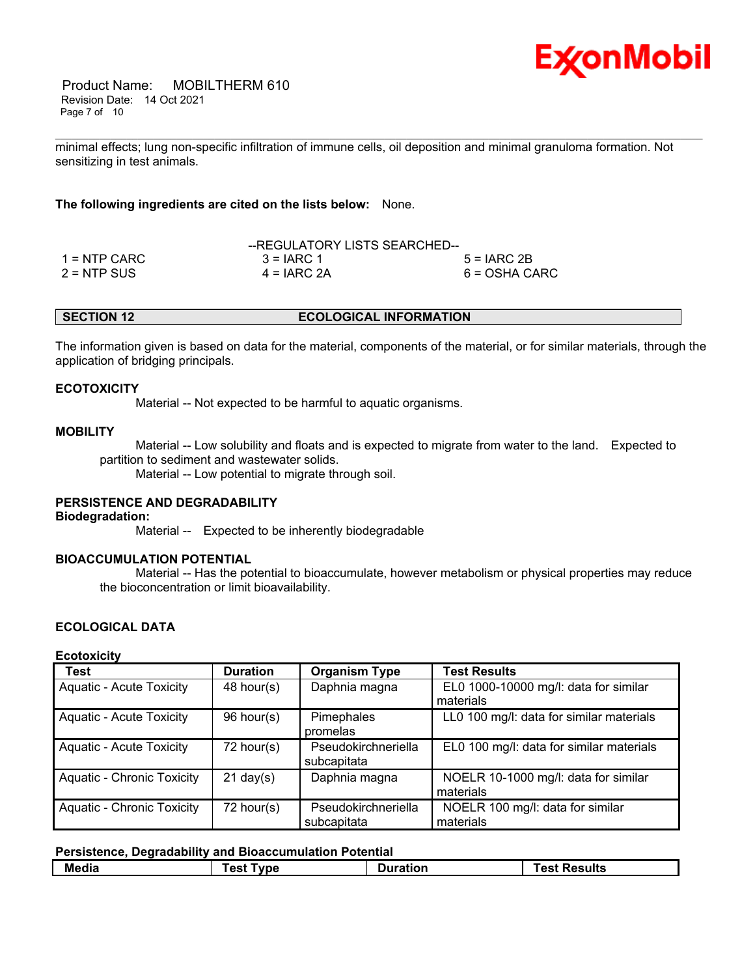

 Product Name: MOBILTHERM 610 Revision Date: 14 Oct 2021 Page 7 of 10

minimal effects; lung non-specific infiltration of immune cells, oil deposition and minimal granuloma formation. Not sensitizing in test animals.

\_\_\_\_\_\_\_\_\_\_\_\_\_\_\_\_\_\_\_\_\_\_\_\_\_\_\_\_\_\_\_\_\_\_\_\_\_\_\_\_\_\_\_\_\_\_\_\_\_\_\_\_\_\_\_\_\_\_\_\_\_\_\_\_\_\_\_\_\_\_\_\_\_\_\_\_\_\_\_\_\_\_\_\_\_\_\_\_\_\_\_\_\_\_\_\_\_\_\_\_\_\_\_\_\_\_\_\_\_\_\_\_\_\_\_\_\_\_

# **The following ingredients are cited on the lists below:** None.

|                | --REGULATORY LISTS SEARCHED-- |               |  |
|----------------|-------------------------------|---------------|--|
| $1 =$ NTP CARC | $3 = IARC 1$                  | $5 = IARC 2B$ |  |
| $2 = NTP$ SUS  | $4 = IARC 2A$                 | 6 = OSHA CARC |  |

The information given is based on data for the material, components of the material, or for similar materials, through the application of bridging principals.

### **ECOTOXICITY**

Material -- Not expected to be harmful to aquatic organisms.

### **MOBILITY**

 Material -- Low solubility and floats and is expected to migrate from water to the land. Expected to partition to sediment and wastewater solids.

Material -- Low potential to migrate through soil.

# **PERSISTENCE AND DEGRADABILITY**

**Biodegradation:**

Material -- Expected to be inherently biodegradable

# **BIOACCUMULATION POTENTIAL**

 Material -- Has the potential to bioaccumulate, however metabolism or physical properties may reduce the bioconcentration or limit bioavailability.

# **ECOLOGICAL DATA**

**Ecotoxicity**

| <b>Test</b>                       | <b>Duration</b>     | <b>Organism Type</b> | <b>Test Results</b>                      |
|-----------------------------------|---------------------|----------------------|------------------------------------------|
| <b>Aquatic - Acute Toxicity</b>   | 48 hour(s)          | Daphnia magna        | EL0 1000-10000 mg/l: data for similar    |
|                                   |                     |                      | materials                                |
| <b>Aquatic - Acute Toxicity</b>   | 96 hour(s)          | Pimephales           | LL0 100 mg/l: data for similar materials |
|                                   |                     | promelas             |                                          |
| <b>Aquatic - Acute Toxicity</b>   | 72 hour(s)          | Pseudokirchneriella  | EL0 100 mg/l: data for similar materials |
|                                   |                     | subcapitata          |                                          |
| <b>Aquatic - Chronic Toxicity</b> | $21 \text{ day}(s)$ | Daphnia magna        | NOELR 10-1000 mg/l: data for similar     |
|                                   |                     |                      | materials                                |
| <b>Aquatic - Chronic Toxicity</b> | 72 hour(s)          | Pseudokirchneriella  | NOELR 100 mg/l: data for similar         |
|                                   |                     | subcapitata          | materials                                |

### **Persistence, Degradability and Bioaccumulation Potential**

| $\overline{\phantom{0}}$ | vne          | <b>Duration</b> | <b>Results</b> |
|--------------------------|--------------|-----------------|----------------|
| . .                      | $\mathbf{A}$ |                 | ne             |
| Media                    | $- -$        |                 | .              |
|                          |              |                 |                |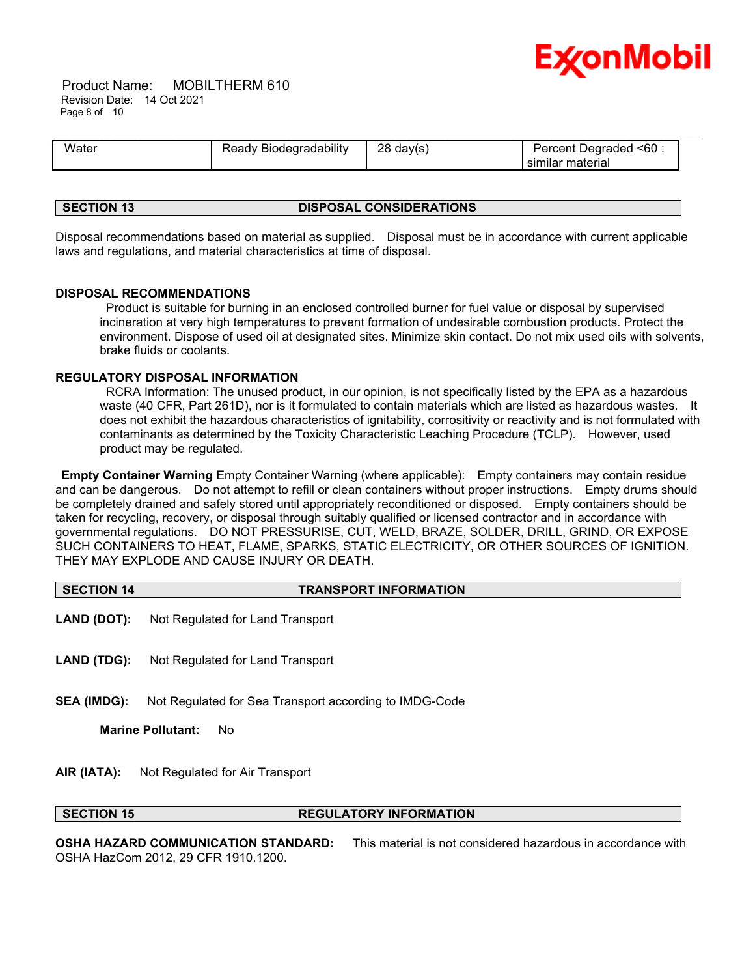

 Product Name: MOBILTHERM 610 Revision Date: 14 Oct 2021 Page 8 of 10

| Water | ' Biodegradability | 28     | Percent Degraded <60 : |
|-------|--------------------|--------|------------------------|
|       | ≺eadv              | day(s) | ' similar material     |

### **SECTION 13 DISPOSAL CONSIDERATIONS**

Disposal recommendations based on material as supplied. Disposal must be in accordance with current applicable laws and regulations, and material characteristics at time of disposal.

# **DISPOSAL RECOMMENDATIONS**

Product is suitable for burning in an enclosed controlled burner for fuel value or disposal by supervised incineration at very high temperatures to prevent formation of undesirable combustion products. Protect the environment. Dispose of used oil at designated sites. Minimize skin contact. Do not mix used oils with solvents, brake fluids or coolants.

# **REGULATORY DISPOSAL INFORMATION**

RCRA Information: The unused product, in our opinion, is not specifically listed by the EPA as a hazardous waste (40 CFR, Part 261D), nor is it formulated to contain materials which are listed as hazardous wastes. It does not exhibit the hazardous characteristics of ignitability, corrositivity or reactivity and is not formulated with contaminants as determined by the Toxicity Characteristic Leaching Procedure (TCLP). However, used product may be regulated.

**Empty Container Warning** Empty Container Warning (where applicable): Empty containers may contain residue and can be dangerous. Do not attempt to refill or clean containers without proper instructions. Empty drums should be completely drained and safely stored until appropriately reconditioned or disposed. Empty containers should be taken for recycling, recovery, or disposal through suitably qualified or licensed contractor and in accordance with governmental regulations. DO NOT PRESSURISE, CUT, WELD, BRAZE, SOLDER, DRILL, GRIND, OR EXPOSE SUCH CONTAINERS TO HEAT, FLAME, SPARKS, STATIC ELECTRICITY, OR OTHER SOURCES OF IGNITION. THEY MAY EXPLODE AND CAUSE INJURY OR DEATH.

| SECTION 14 | <b>TRANSPORT INFORMATION</b> |
|------------|------------------------------|
|            |                              |

- **LAND (DOT):** Not Regulated for Land Transport
- **LAND (TDG):** Not Regulated for Land Transport
- **SEA (IMDG):** Not Regulated for Sea Transport according to IMDG-Code

**Marine Pollutant:** No

**AIR (IATA):** Not Regulated for Air Transport

### **SECTION 15 REGULATORY INFORMATION**

**OSHA HAZARD COMMUNICATION STANDARD:** This material is not considered hazardous in accordance with OSHA HazCom 2012, 29 CFR 1910.1200.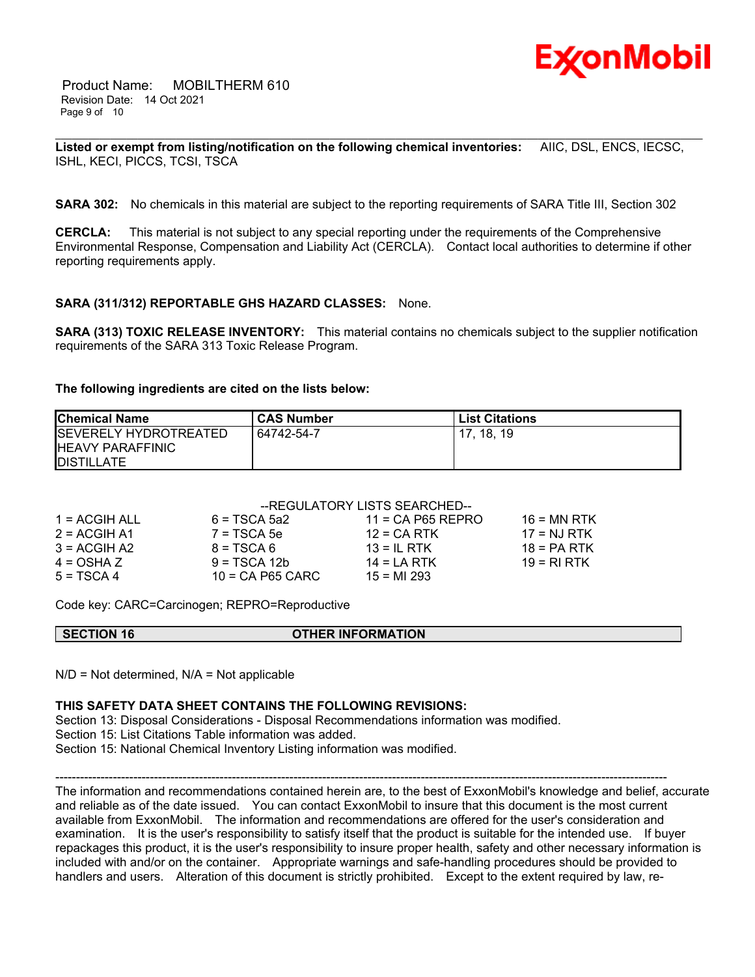

 Product Name: MOBILTHERM 610 Revision Date: 14 Oct 2021 Page 9 of 10

\_\_\_\_\_\_\_\_\_\_\_\_\_\_\_\_\_\_\_\_\_\_\_\_\_\_\_\_\_\_\_\_\_\_\_\_\_\_\_\_\_\_\_\_\_\_\_\_\_\_\_\_\_\_\_\_\_\_\_\_\_\_\_\_\_\_\_\_\_\_\_\_\_\_\_\_\_\_\_\_\_\_\_\_\_\_\_\_\_\_\_\_\_\_\_\_\_\_\_\_\_\_\_\_\_\_\_\_\_\_\_\_\_\_\_\_\_\_ **Listed or exempt from listing/notification on the following chemical inventories:** AIIC, DSL, ENCS, IECSC, ISHL, KECI, PICCS, TCSI, TSCA

**SARA 302:** No chemicals in this material are subject to the reporting requirements of SARA Title III, Section 302

**CERCLA:** This material is not subject to any special reporting under the requirements of the Comprehensive Environmental Response, Compensation and Liability Act (CERCLA). Contact local authorities to determine if other reporting requirements apply.

# **SARA (311/312) REPORTABLE GHS HAZARD CLASSES:** None.

**SARA (313) TOXIC RELEASE INVENTORY:** This material contains no chemicals subject to the supplier notification requirements of the SARA 313 Toxic Release Program.

### **The following ingredients are cited on the lists below:**

| <b>Chemical Name</b>         | <b>CAS Number</b> | <b>List Citations</b> |
|------------------------------|-------------------|-----------------------|
| <b>SEVERELY HYDROTREATED</b> | 64742-54-7        | 17. 18. 19            |
| <b>IHEAVY PARAFFINIC</b>     |                   |                       |
| <b>IDISTILLATE</b>           |                   |                       |

# --REGULATORY LISTS SEARCHED--

| 1 = ACGIH ALL  | $6 = TSCA$ 5a2     | $11 = CA$ P65 REPRO | $16 = MN$ RTK |
|----------------|--------------------|---------------------|---------------|
| $2 = ACGIH A1$ | $7 = TSCA5e$       | $12$ = CA RTK       | $17 = NJ RTK$ |
| $3 = ACGIH A2$ | $8 = TSCA6$        | $13 = IL$ RTK       | $18 = PA RTK$ |
| $4 = OSHA Z$   | $9 = TSCA 12b$     | $14 = LA RTK$       | 19 = RI RTK   |
| $5 = TSCA4$    | $10 = CA$ P65 CARC | $15 = M1293$        |               |

Code key: CARC=Carcinogen; REPRO=Reproductive

### **SECTION 16 OTHER INFORMATION**

 $N/D$  = Not determined,  $N/A$  = Not applicable

### **THIS SAFETY DATA SHEET CONTAINS THE FOLLOWING REVISIONS:**

Section 13: Disposal Considerations - Disposal Recommendations information was modified. Section 15: List Citations Table information was added. Section 15: National Chemical Inventory Listing information was modified.

----------------------------------------------------------------------------------------------------------------------------------------------------- The information and recommendations contained herein are, to the best of ExxonMobil's knowledge and belief, accurate and reliable as of the date issued. You can contact ExxonMobil to insure that this document is the most current available from ExxonMobil. The information and recommendations are offered for the user's consideration and examination. It is the user's responsibility to satisfy itself that the product is suitable for the intended use. If buyer repackages this product, it is the user's responsibility to insure proper health, safety and other necessary information is included with and/or on the container. Appropriate warnings and safe-handling procedures should be provided to handlers and users. Alteration of this document is strictly prohibited. Except to the extent required by law, re-